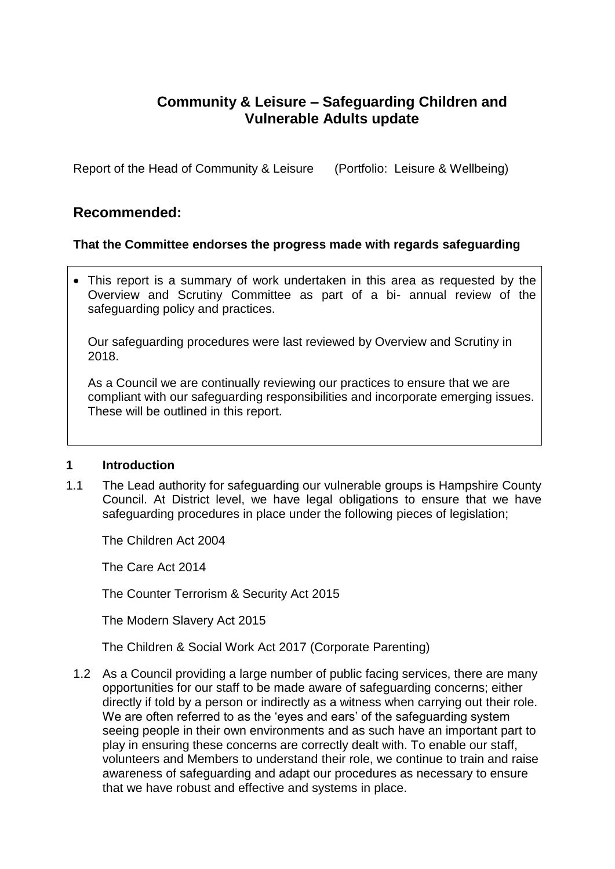# **Community & Leisure – Safeguarding Children and Vulnerable Adults update**

Report of the Head of Community & Leisure (Portfolio: Leisure & Wellbeing)

# **Recommended:**

# **That the Committee endorses the progress made with regards safeguarding**

 This report is a summary of work undertaken in this area as requested by the Overview and Scrutiny Committee as part of a bi- annual review of the safeguarding policy and practices.

Our safeguarding procedures were last reviewed by Overview and Scrutiny in 2018.

As a Council we are continually reviewing our practices to ensure that we are compliant with our safeguarding responsibilities and incorporate emerging issues. These will be outlined in this report.

#### **1 Introduction**

1.1 The Lead authority for safeguarding our vulnerable groups is Hampshire County Council. At District level, we have legal obligations to ensure that we have safeguarding procedures in place under the following pieces of legislation;

The Children Act 2004

The Care Act 2014

The Counter Terrorism & Security Act 2015

The Modern Slavery Act 2015

The Children & Social Work Act 2017 (Corporate Parenting)

1.2 As a Council providing a large number of public facing services, there are many opportunities for our staff to be made aware of safeguarding concerns; either directly if told by a person or indirectly as a witness when carrying out their role. We are often referred to as the 'eyes and ears' of the safeguarding system seeing people in their own environments and as such have an important part to play in ensuring these concerns are correctly dealt with. To enable our staff, volunteers and Members to understand their role, we continue to train and raise awareness of safeguarding and adapt our procedures as necessary to ensure that we have robust and effective and systems in place.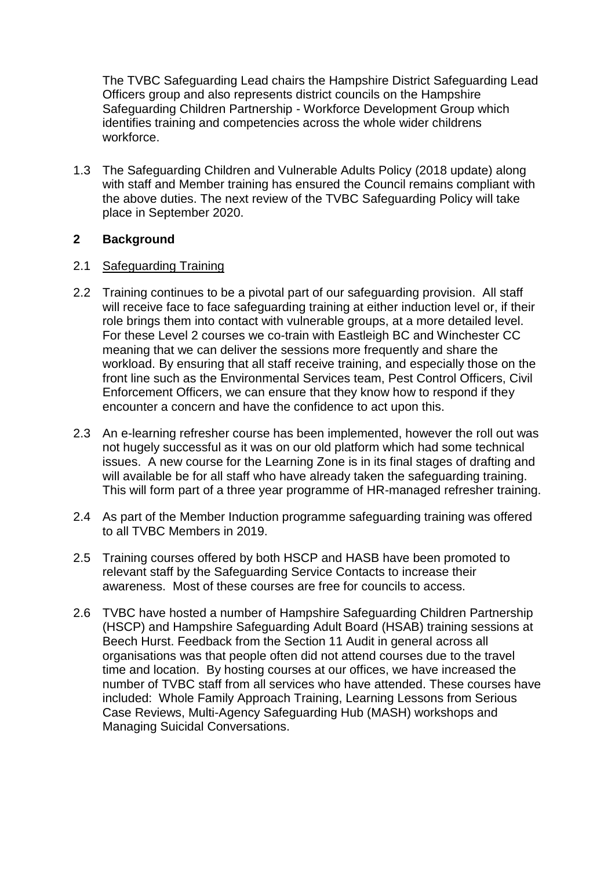The TVBC Safeguarding Lead chairs the Hampshire District Safeguarding Lead Officers group and also represents district councils on the Hampshire Safeguarding Children Partnership - Workforce Development Group which identifies training and competencies across the whole wider childrens workforce.

1.3 The Safeguarding Children and Vulnerable Adults Policy (2018 update) along with staff and Member training has ensured the Council remains compliant with the above duties. The next review of the TVBC Safeguarding Policy will take place in September 2020.

# **2 Background**

#### 2.1 Safeguarding Training

- 2.2 Training continues to be a pivotal part of our safeguarding provision. All staff will receive face to face safeguarding training at either induction level or, if their role brings them into contact with vulnerable groups, at a more detailed level. For these Level 2 courses we co-train with Eastleigh BC and Winchester CC meaning that we can deliver the sessions more frequently and share the workload. By ensuring that all staff receive training, and especially those on the front line such as the Environmental Services team, Pest Control Officers, Civil Enforcement Officers, we can ensure that they know how to respond if they encounter a concern and have the confidence to act upon this.
- 2.3 An e-learning refresher course has been implemented, however the roll out was not hugely successful as it was on our old platform which had some technical issues. A new course for the Learning Zone is in its final stages of drafting and will available be for all staff who have already taken the safeguarding training. This will form part of a three year programme of HR-managed refresher training.
- 2.4 As part of the Member Induction programme safeguarding training was offered to all TVBC Members in 2019.
- 2.5 Training courses offered by both HSCP and HASB have been promoted to relevant staff by the Safeguarding Service Contacts to increase their awareness. Most of these courses are free for councils to access.
- 2.6 TVBC have hosted a number of Hampshire Safeguarding Children Partnership (HSCP) and Hampshire Safeguarding Adult Board (HSAB) training sessions at Beech Hurst. Feedback from the Section 11 Audit in general across all organisations was that people often did not attend courses due to the travel time and location. By hosting courses at our offices, we have increased the number of TVBC staff from all services who have attended. These courses have included: Whole Family Approach Training, Learning Lessons from Serious Case Reviews, Multi-Agency Safeguarding Hub (MASH) workshops and Managing Suicidal Conversations.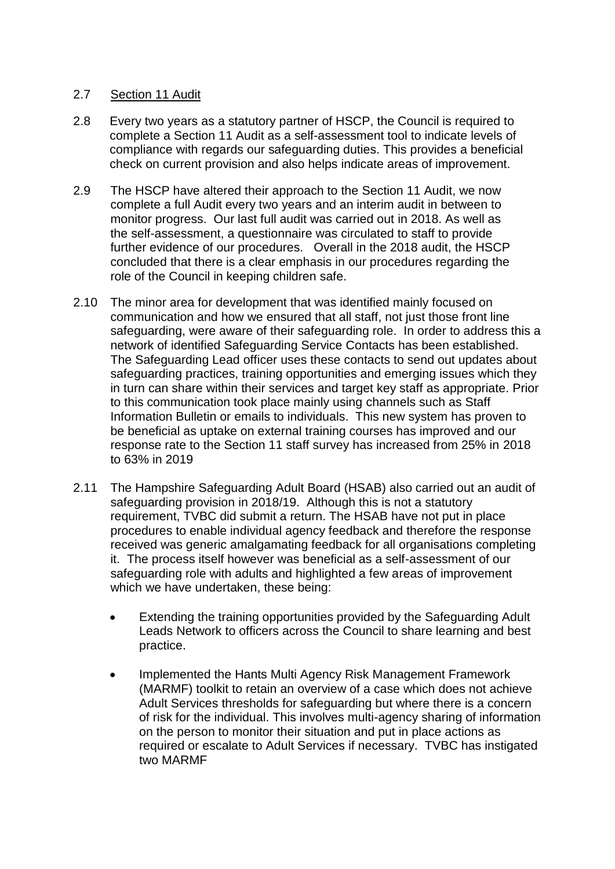# 2.7 Section 11 Audit

- 2.8 Every two years as a statutory partner of HSCP, the Council is required to complete a Section 11 Audit as a self-assessment tool to indicate levels of compliance with regards our safeguarding duties. This provides a beneficial check on current provision and also helps indicate areas of improvement.
- 2.9 The HSCP have altered their approach to the Section 11 Audit, we now complete a full Audit every two years and an interim audit in between to monitor progress. Our last full audit was carried out in 2018. As well as the self-assessment, a questionnaire was circulated to staff to provide further evidence of our procedures. Overall in the 2018 audit, the HSCP concluded that there is a clear emphasis in our procedures regarding the role of the Council in keeping children safe.
- 2.10 The minor area for development that was identified mainly focused on communication and how we ensured that all staff, not just those front line safeguarding, were aware of their safeguarding role. In order to address this a network of identified Safeguarding Service Contacts has been established. The Safeguarding Lead officer uses these contacts to send out updates about safeguarding practices, training opportunities and emerging issues which they in turn can share within their services and target key staff as appropriate. Prior to this communication took place mainly using channels such as Staff Information Bulletin or emails to individuals. This new system has proven to be beneficial as uptake on external training courses has improved and our response rate to the Section 11 staff survey has increased from 25% in 2018 to 63% in 2019
- 2.11 The Hampshire Safeguarding Adult Board (HSAB) also carried out an audit of safeguarding provision in 2018/19. Although this is not a statutory requirement, TVBC did submit a return. The HSAB have not put in place procedures to enable individual agency feedback and therefore the response received was generic amalgamating feedback for all organisations completing it. The process itself however was beneficial as a self-assessment of our safeguarding role with adults and highlighted a few areas of improvement which we have undertaken, these being:
	- Extending the training opportunities provided by the Safeguarding Adult Leads Network to officers across the Council to share learning and best practice.
	- Implemented the Hants Multi Agency Risk Management Framework (MARMF) toolkit to retain an overview of a case which does not achieve Adult Services thresholds for safeguarding but where there is a concern of risk for the individual. This involves multi-agency sharing of information on the person to monitor their situation and put in place actions as required or escalate to Adult Services if necessary. TVBC has instigated two MARMF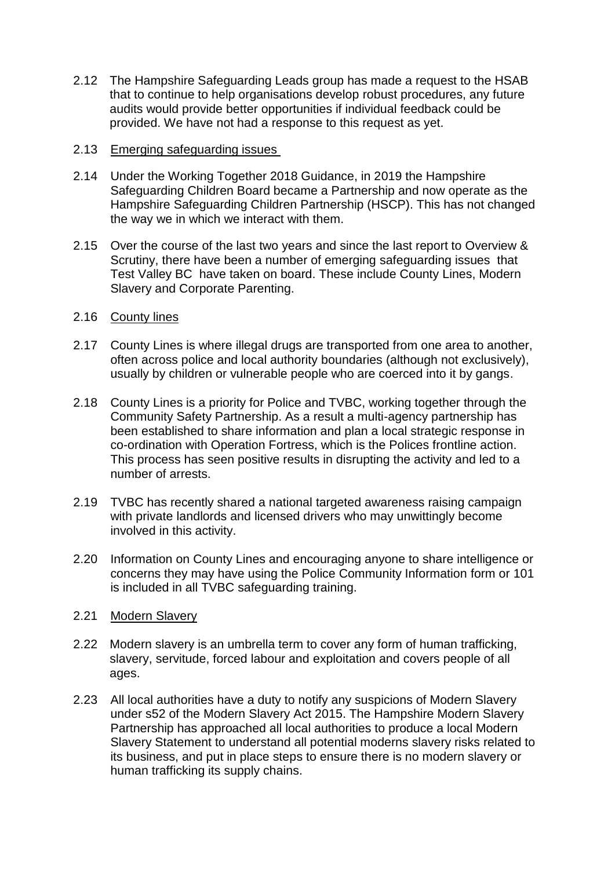- 2.12 The Hampshire Safeguarding Leads group has made a request to the HSAB that to continue to help organisations develop robust procedures, any future audits would provide better opportunities if individual feedback could be provided. We have not had a response to this request as yet.
- 2.13 Emerging safeguarding issues
- 2.14 Under the Working Together 2018 Guidance, in 2019 the Hampshire Safeguarding Children Board became a Partnership and now operate as the Hampshire Safeguarding Children Partnership (HSCP). This has not changed the way we in which we interact with them.
- 2.15 Over the course of the last two years and since the last report to Overview & Scrutiny, there have been a number of emerging safeguarding issues that Test Valley BC have taken on board. These include County Lines, Modern Slavery and Corporate Parenting.
- 2.16 County lines
- 2.17 County Lines is where illegal drugs are transported from one area to another, often across police and local authority boundaries (although not exclusively), usually by children or vulnerable people who are coerced into it by gangs.
- 2.18 County Lines is a priority for Police and TVBC, working together through the Community Safety Partnership. As a result a multi-agency partnership has been established to share information and plan a local strategic response in co-ordination with Operation Fortress, which is the Polices frontline action. This process has seen positive results in disrupting the activity and led to a number of arrests.
- 2.19 TVBC has recently shared a national targeted awareness raising campaign with private landlords and licensed drivers who may unwittingly become involved in this activity.
- 2.20 Information on County Lines and encouraging anyone to share intelligence or concerns they may have using the Police Community Information form or 101 is included in all TVBC safeguarding training.
- 2.21 Modern Slavery
- 2.22 Modern slavery is an umbrella term to cover any form of human trafficking, slavery, servitude, forced labour and exploitation and covers people of all ages.
- 2.23 All local authorities have a duty to notify any suspicions of Modern Slavery under s52 of the Modern Slavery Act 2015. The Hampshire Modern Slavery Partnership has approached all local authorities to produce a local Modern Slavery Statement to understand all potential moderns slavery risks related to its business, and put in place steps to ensure there is no modern slavery or human trafficking its supply chains.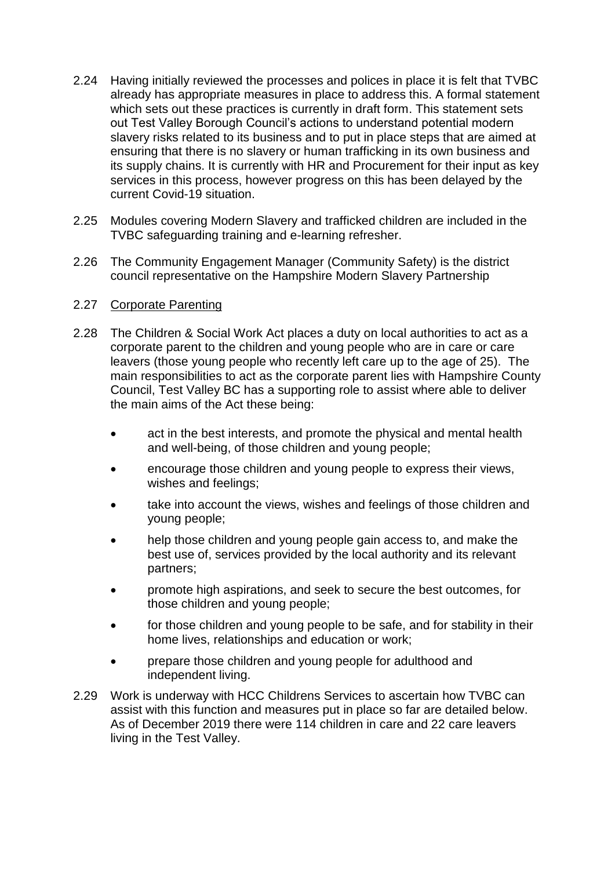- 2.24 Having initially reviewed the processes and polices in place it is felt that TVBC already has appropriate measures in place to address this. A formal statement which sets out these practices is currently in draft form. This statement sets out Test Valley Borough Council's actions to understand potential modern slavery risks related to its business and to put in place steps that are aimed at ensuring that there is no slavery or human trafficking in its own business and its supply chains. It is currently with HR and Procurement for their input as key services in this process, however progress on this has been delayed by the current Covid-19 situation.
- 2.25 Modules covering Modern Slavery and trafficked children are included in the TVBC safeguarding training and e-learning refresher.
- 2.26 The Community Engagement Manager (Community Safety) is the district council representative on the Hampshire Modern Slavery Partnership

#### 2.27 Corporate Parenting

- 2.28 The Children & Social Work Act places a duty on local authorities to act as a corporate parent to the children and young people who are in care or care leavers (those young people who recently left care up to the age of 25). The main responsibilities to act as the corporate parent lies with Hampshire County Council, Test Valley BC has a supporting role to assist where able to deliver the main aims of the Act these being:
	- act in the best interests, and promote the physical and mental health and well-being, of those children and young people;
	- encourage those children and young people to express their views, wishes and feelings;
	- take into account the views, wishes and feelings of those children and young people;
	- help those children and young people gain access to, and make the best use of, services provided by the local authority and its relevant partners;
	- promote high aspirations, and seek to secure the best outcomes, for those children and young people;
	- for those children and young people to be safe, and for stability in their home lives, relationships and education or work;
	- prepare those children and young people for adulthood and independent living.
- 2.29 Work is underway with HCC Childrens Services to ascertain how TVBC can assist with this function and measures put in place so far are detailed below. As of December 2019 there were 114 children in care and 22 care leavers living in the Test Valley.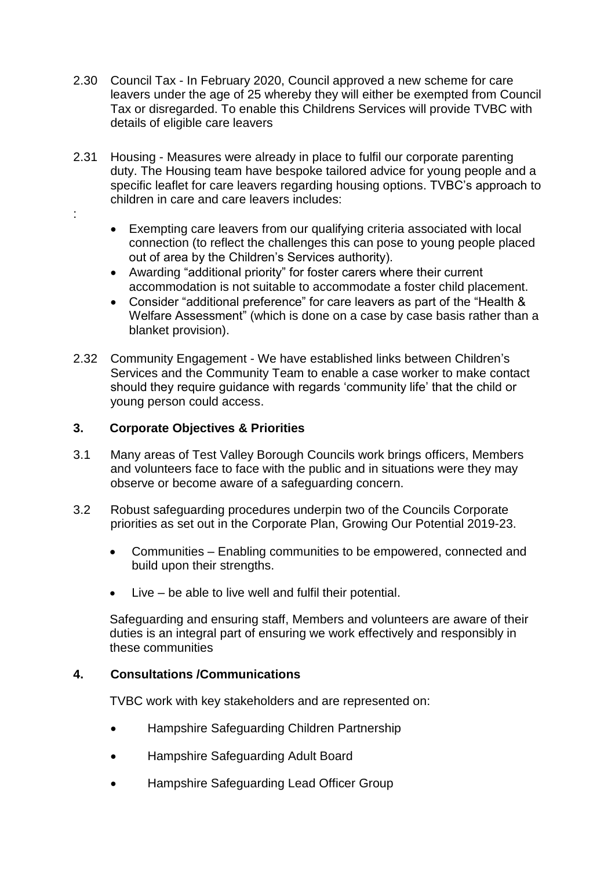- 2.30 Council Tax In February 2020, Council approved a new scheme for care leavers under the age of 25 whereby they will either be exempted from Council Tax or disregarded. To enable this Childrens Services will provide TVBC with details of eligible care leavers
- 2.31 Housing Measures were already in place to fulfil our corporate parenting duty. The Housing team have bespoke tailored advice for young people and a specific leaflet for care leavers regarding housing options. TVBC's approach to children in care and care leavers includes:
	- Exempting care leavers from our qualifying criteria associated with local connection (to reflect the challenges this can pose to young people placed out of area by the Children's Services authority).
	- Awarding "additional priority" for foster carers where their current accommodation is not suitable to accommodate a foster child placement.
	- Consider "additional preference" for care leavers as part of the "Health & Welfare Assessment" (which is done on a case by case basis rather than a blanket provision).
- 2.32 Community Engagement We have established links between Children's Services and the Community Team to enable a case worker to make contact should they require guidance with regards 'community life' that the child or young person could access.

# **3. Corporate Objectives & Priorities**

:

- 3.1 Many areas of Test Valley Borough Councils work brings officers, Members and volunteers face to face with the public and in situations were they may observe or become aware of a safeguarding concern.
- 3.2 Robust safeguarding procedures underpin two of the Councils Corporate priorities as set out in the Corporate Plan, Growing Our Potential 2019-23.
	- Communities Enabling communities to be empowered, connected and build upon their strengths.
	- Live be able to live well and fulfil their potential.

Safeguarding and ensuring staff, Members and volunteers are aware of their duties is an integral part of ensuring we work effectively and responsibly in these communities

#### **4. Consultations /Communications**

TVBC work with key stakeholders and are represented on:

- Hampshire Safeguarding Children Partnership
- Hampshire Safeguarding Adult Board
- Hampshire Safeguarding Lead Officer Group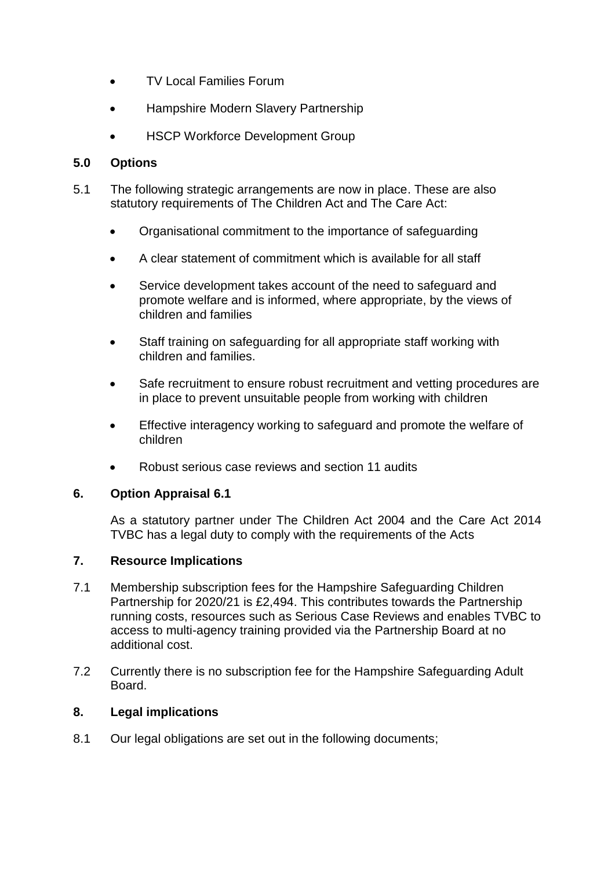- TV Local Families Forum
- Hampshire Modern Slavery Partnership
- HSCP Workforce Development Group

# **5.0 Options**

- 5.1 The following strategic arrangements are now in place. These are also statutory requirements of The Children Act and The Care Act:
	- Organisational commitment to the importance of safeguarding
	- A clear statement of commitment which is available for all staff
	- Service development takes account of the need to safeguard and promote welfare and is informed, where appropriate, by the views of children and families
	- Staff training on safeguarding for all appropriate staff working with children and families.
	- Safe recruitment to ensure robust recruitment and vetting procedures are in place to prevent unsuitable people from working with children
	- Effective interagency working to safeguard and promote the welfare of children
	- Robust serious case reviews and section 11 audits

# **6. Option Appraisal 6.1**

As a statutory partner under The Children Act 2004 and the Care Act 2014 TVBC has a legal duty to comply with the requirements of the Acts

# **7. Resource Implications**

- 7.1 Membership subscription fees for the Hampshire Safeguarding Children Partnership for 2020/21 is £2,494. This contributes towards the Partnership running costs, resources such as Serious Case Reviews and enables TVBC to access to multi-agency training provided via the Partnership Board at no additional cost.
- 7.2 Currently there is no subscription fee for the Hampshire Safeguarding Adult Board.

# **8. Legal implications**

8.1 Our legal obligations are set out in the following documents;